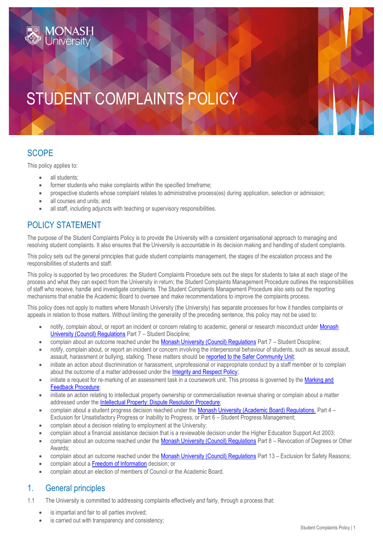# STUDENT COMPLAINTS POLICY

## **SCOPE**

This policy applies to:

- all students:
- former students who make complaints within the specified timeframe;
- prospective students whose complaint relates to administrative process(es) during application, selection or admission;
- all courses and units; and
- all staff, including adjuncts with teaching or supervisory responsibilities.

## POLICY STATEMENT

The purpose of the Student Complaints Policy is to provide the University with a consistent organisational approach to managing and resolving student complaints. It also ensures that the University is accountable in its decision making and handling of student complaints.

This policy sets out the general principles that guide student complaints management, the stages of the escalation process and the responsibilities of students and staff.

This policy is supported by two procedures: the Student Complaints Procedure sets out the steps for students to take at each stage of the process and what they can expect from the University in return; the Student Complaints Management Procedure outlines the responsibilities of staff who receive, handle and investigate complaints. The Student Complaints Management Procedure also sets out the reporting mechanisms that enable the Academic Board to oversee and make recommendations to improve the complaints process.

This policy does not apply to matters where Monash University (the University) has separate processes for how it handles complaints or appeals in relation to those matters. Without limiting the generality of the preceding sentence, this policy may not be used to:

- notify, complain about, or report an incident or concern relating to academic, general or research misconduct under Monash [University \(Council\) Regulations](http://monash.edu/legal/legislation/current-statute-regulations-and-related-resolutions) Part 7 – Student Discipline;
- complain about an outcome reached under the [Monash University \(Council\) Regulations](http://monash.edu/legal/legislation/current-statute-regulations-and-related-resolutions) Part 7 Student Discipline;
- notify, complain about, or report an incident or concern involving the interpersonal behaviour of students, such as sexual assault, assault, harassment or bullying, stalking. These matters should be [reported to the Safer Community Unit;](https://www.monash.edu/safer-community/reporting)
- initiate an action about discrimination or harassment, unprofessional or inappropriate conduct by a staff member or to complain about the outcome of a matter addressed under the [Integrity and Respect Policy;](https://www.monash.edu/__data/assets/pdf_file/0005/1294844/Integrity-and-Respect.pdf)
- initiate a request for re-marking of an assessment task in a coursework unit. This process is governed by the Marking and [Feedback Procedure;](https://www.monash.edu/__data/assets/pdf_file/0017/2300930/Marking-and-Feedback-Procedure.pdf)
- initiate an action relating to intellectual property ownership or commercialisation revenue sharing or complain about a matter addressed under the [Intellectual Property: Dispute Resolution Procedure;](https://www.monash.edu/__data/assets/pdf_file/0011/1168940/IP-Procedure.pdf)
- complain about a student progress decision reached under the [Monash University \(Academic Board\) Regulations,](http://monash.edu/legal/legislation/current-statute-regulations-and-related-resolutions) Part 4 Exclusion for Unsatisfactory Progress or Inability to Progress, or Part 6 – Student Progress Management;
- complain about a decision relating to employment at the University;
- complain about a financial assistance decision that is a reviewable decision under the Higher Education Support Act 2003;
- complain about an outcome reached under the [Monash University \(Council\) Regulations](http://monash.edu/legal/legislation/current-statute-regulations-and-related-resolutions) Part 8 Revocation of Degrees or Other Awards;
- complain about an outcome reached under the [Monash University \(Council\) Regulations](http://monash.edu/legal/legislation/current-statute-regulations-and-related-resolutions) Part 13 Exclusion for Safety Reasons;
- complain about a [Freedom of Information](https://www.monash.edu/execserv/foi) decision; or
- complain about an election of members of Council or the Academic Board.

## 1. General principles

- 1.1 The University is committed to addressing complaints effectively and fairly, through a process that:
	- is impartial and fair to all parties involved:
	- is carried out with transparency and consistency;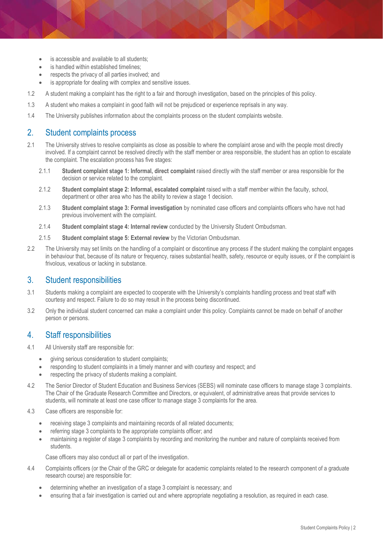- is accessible and available to all students;
- is handled within established timelines:
- respects the privacy of all parties involved; and
- is appropriate for dealing with complex and sensitive issues.
- 1.2 A student making a complaint has the right to a fair and thorough investigation, based on the principles of this policy.
- 1.3 A student who makes a complaint in good faith will not be prejudiced or experience reprisals in any way.
- 1.4 The University publishes information about the complaints process on the [student complaints website.](https://www.monash.edu/student-complaints/how-to)

#### 2. Student complaints process

- 2.1 The University strives to resolve complaints as close as possible to where the complaint arose and with the people most directly involved. If a complaint cannot be resolved directly with the staff member or area responsible, the student has an option to escalate the complaint. The escalation process has five stages:
	- 2.1.1 **Student complaint stage 1: Informal, direct complaint** raised directly with the staff member or area responsible for the decision or service related to the complaint.
	- 2.1.2 **Student complaint stage 2: Informal, escalated complaint** raised with a staff member within the faculty, school, department or other area who has the ability to review a stage 1 decision.
	- 2.1.3 **Student complaint stage 3: Formal investigation** by nominated case officers and complaints officers who have not had previous involvement with the complaint.
	- 2.1.4 **Student complaint stage 4: Internal review** conducted by the University Student Ombudsman.
	- 2.1.5 **Student complaint stage 5: External review** by the Victorian Ombudsman.
- 2.2 The University may set limits on the handling of a complaint or discontinue any process if the student making the complaint engages in behaviour that, because of its nature or frequency, raises substantial health, safety, resource or equity issues, or if the complaint is frivolous, vexatious or lacking in substance.

#### 3. Student responsibilities

- 3.1 Students making a complaint are expected to cooperate with the University's complaints handling process and treat staff with courtesy and respect. Failure to do so may result in the process being discontinued.
- 3.2 Only the individual student concerned can make a complaint under this policy. Complaints cannot be made on behalf of another person or persons.

#### 4. Staff responsibilities

- 4.1 All University staff are responsible for:
	- giving serious consideration to student complaints;
		- responding to student complaints in a timely manner and with courtesy and respect; and
		- respecting the privacy of students making a complaint.
- 4.2 The Senior Director of Student Education and Business Services (SEBS) will nominate case officers to manage stage 3 complaints. The Chair of the Graduate Research Committee and Directors, or equivalent, of administrative areas that provide services to students, will nominate at least one case officer to manage stage 3 complaints for the area.
- 4.3 Case officers are responsible for:
	- receiving stage 3 complaints and maintaining records of all related documents;
	- referring stage 3 complaints to the appropriate complaints officer; and
	- maintaining a register of stage 3 complaints by recording and monitoring the number and nature of complaints received from students.

Case officers may also conduct all or part of the investigation.

- 4.4 Complaints officers (or the Chair of the GRC or delegate for academic complaints related to the research component of a graduate research course) are responsible for:
	- determining whether an investigation of a stage 3 complaint is necessary; and
	- ensuring that a fair investigation is carried out and where appropriate negotiating a resolution, as required in each case.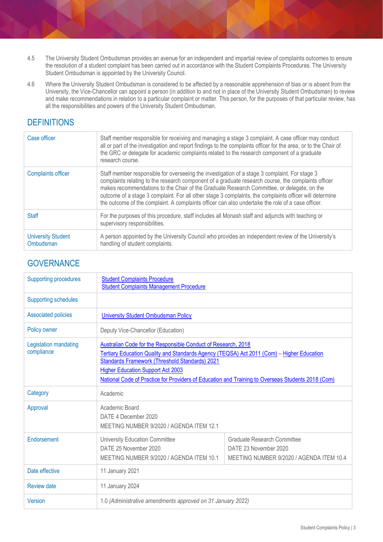- 4.5 The University Student Ombudsman provides an avenue for an independent and impartial review of complaints outcomes to ensure the resolution of a student complaint has been carried out in accordance with the Student Complaints Procedures. The University Student Ombudsman is appointed by the University Council.
- 4.6 Where the University Student Ombudsman is considered to be affected by a reasonable apprehension of bias or is absent from the University, the Vice-Chancellor can appoint a person (in addition to and not in place of the University Student Ombudsman) to review and make recommendations in relation to a particular complaint or matter. This person, for the purposes of that particular review, has all the responsibilities and powers of the University Student Ombudsman.

## **DEFINITIONS**

| Case officer                           | Staff member responsible for receiving and managing a stage 3 complaint. A case officer may conduct<br>all or part of the investigation and report findings to the complaints officer for the area, or to the Chair of<br>the GRC or delegate for academic complaints related to the research component of a graduate<br>research course.                                                                                                                                                                          |
|----------------------------------------|--------------------------------------------------------------------------------------------------------------------------------------------------------------------------------------------------------------------------------------------------------------------------------------------------------------------------------------------------------------------------------------------------------------------------------------------------------------------------------------------------------------------|
| <b>Complaints officer</b>              | Staff member responsible for overseeing the investigation of a stage 3 complaint. For stage 3<br>complaints relating to the research component of a graduate research course, the complaints officer<br>makes recommendations to the Chair of the Graduate Research Committee, or delegate, on the<br>outcome of a stage 3 complaint. For all other stage 3 complaints, the complaints officer will determine<br>the outcome of the complaint. A complaints officer can also undertake the role of a case officer. |
| Staff                                  | For the purposes of this procedure, staff includes all Monash staff and adjuncts with teaching or<br>supervisory responsibilities.                                                                                                                                                                                                                                                                                                                                                                                 |
| <b>University Student</b><br>Ombudsman | A person appointed by the University Council who provides an independent review of the University's<br>handling of student complaints.                                                                                                                                                                                                                                                                                                                                                                             |

### **GOVERNANCE**

| <b>Supporting procedures</b>        | <b>Student Complaints Procedure</b><br><b>Student Complaints Management Procedure</b>                                                                                                                                                                                                                                                                                |                                                                                                  |  |  |
|-------------------------------------|----------------------------------------------------------------------------------------------------------------------------------------------------------------------------------------------------------------------------------------------------------------------------------------------------------------------------------------------------------------------|--------------------------------------------------------------------------------------------------|--|--|
| <b>Supporting schedules</b>         |                                                                                                                                                                                                                                                                                                                                                                      |                                                                                                  |  |  |
| <b>Associated policies</b>          | <b>University Student Ombudsman Policy</b>                                                                                                                                                                                                                                                                                                                           |                                                                                                  |  |  |
| Policy owner                        | Deputy Vice-Chancellor (Education)                                                                                                                                                                                                                                                                                                                                   |                                                                                                  |  |  |
| Legislation mandating<br>compliance | Australian Code for the Responsible Conduct of Research, 2018<br>Tertiary Education Quality and Standards Agency (TEQSA) Act 2011 (Com) - Higher Education<br><b>Standards Framework (Threshold Standards) 2021</b><br><b>Higher Education Support Act 2003</b><br>National Code of Practice for Providers of Education and Training to Overseas Students 2018 (Com) |                                                                                                  |  |  |
| Category                            | Academic                                                                                                                                                                                                                                                                                                                                                             |                                                                                                  |  |  |
| Approval                            | Academic Board<br>DATE 4 December 2020<br>MEETING NUMBER 9/2020 / AGENDA ITEM 12.1                                                                                                                                                                                                                                                                                   |                                                                                                  |  |  |
| Endorsement                         | <b>University Education Committee</b><br>DATE 25 November 2020<br>MEETING NUMBER 9/2020 / AGENDA ITEM 10.1                                                                                                                                                                                                                                                           | Graduate Research Committee<br>DATE 23 November 2020<br>MEETING NUMBER 9/2020 / AGENDA ITEM 10.4 |  |  |
| Date effective                      | 11 January 2021                                                                                                                                                                                                                                                                                                                                                      |                                                                                                  |  |  |
| <b>Review date</b>                  | 11 January 2024                                                                                                                                                                                                                                                                                                                                                      |                                                                                                  |  |  |
| <b>Version</b>                      | 1.0 (Administrative amendments approved on 31 January 2022)                                                                                                                                                                                                                                                                                                          |                                                                                                  |  |  |